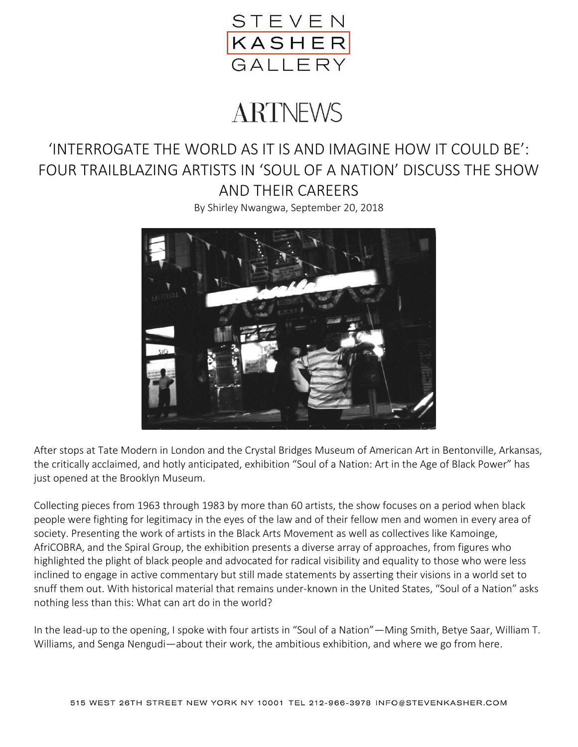

# **ARTNEWS**

## 'INTERROGATE THE WORLD AS IT IS AND IMAGINE HOW IT COULD BE': FOUR TRAILBLAZING ARTISTS IN 'SOUL OF A NATION' DISCUSS THE SHOW AND THEIR CAREERS

By Shirley Nwangwa, September 20, 2018



After stops at Tate Modern in London and the Crystal Bridges Museum of American Art in Bentonville, Arkansas, the critically acclaimed, and hotly anticipated, exhibition "Soul of a Nation: Art in the Age of Black Power" has just opened at the Brooklyn Museum.

Collecting pieces from 1963 through 1983 by more than 60 artists, the show focuses on a period when black people were fighting for legitimacy in the eyes of the law and of their fellow men and women in every area of society. Presenting the work of artists in the Black Arts Movement as well as collectives like Kamoinge, AfriCOBRA, and the Spiral Group, the exhibition presents a diverse array of approaches, from figures who highlighted the plight of black people and advocated for radical visibility and equality to those who were less inclined to engage in active commentary but still made statements by asserting their visions in a world set to snuff them out. With historical material that remains under-known in the United States, "Soul of a Nation" asks nothing less than this: What can art do in the world?

In the lead-up to the opening, I spoke with four artists in "Soul of a Nation"—Ming Smith, Betye Saar, William T. Williams, and Senga Nengudi—about their work, the ambitious exhibition, and where we go from here.